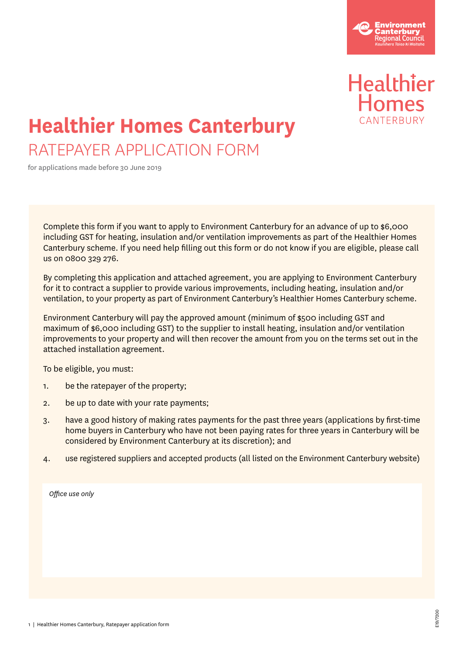

# Healthier<br>Homes CANTERBURY

## **Healthier Homes Canterbury**  RATEPAYER APPLICATION FORM

for applications made before 30 June 2019

Complete this form if you want to apply to Environment Canterbury for an advance of up to \$6,000 including GST for heating, insulation and/or ventilation improvements as part of the Healthier Homes Canterbury scheme. If you need help filling out this form or do not know if you are eligible, please call us on 0800 329 276.

By completing this application and attached agreement, you are applying to Environment Canterbury for it to contract a supplier to provide various improvements, including heating, insulation and/or ventilation, to your property as part of Environment Canterbury's Healthier Homes Canterbury scheme.

Environment Canterbury will pay the approved amount (minimum of \$500 including GST and maximum of \$6,000 including GST) to the supplier to install heating, insulation and/or ventilation improvements to your property and will then recover the amount from you on the terms set out in the attached installation agreement.

To be eligible, you must:

- 1. be the ratepayer of the property;
- 2. be up to date with your rate payments;
- 3. have a good history of making rates payments for the past three years (applications by first-time home buyers in Canterbury who have not been paying rates for three years in Canterbury will be considered by Environment Canterbury at its discretion); and
- 4. use registered suppliers and accepted products (all listed on the Environment Canterbury website)

*Office use only*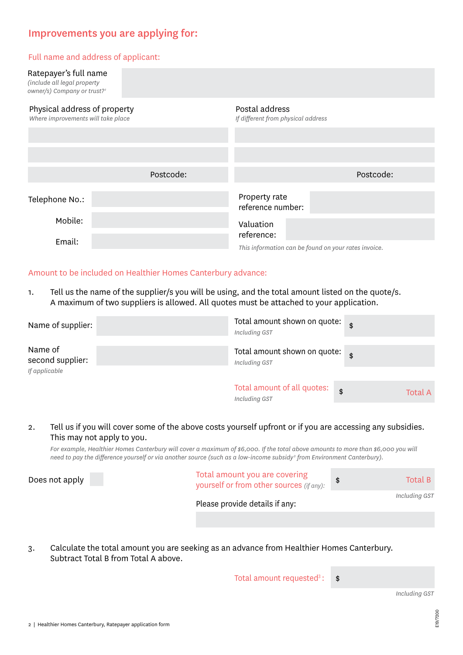## Improvements you are applying for:

#### Full name and address of applicant:

| Ratepayer's full name<br>(include all legal property<br>owner/s) Company or trust?' |           |                                                      |           |
|-------------------------------------------------------------------------------------|-----------|------------------------------------------------------|-----------|
| Physical address of property<br>Where improvements will take place                  |           | Postal address<br>If different from physical address |           |
|                                                                                     |           |                                                      |           |
|                                                                                     | Postcode: |                                                      | Postcode: |
| Telephone No.:                                                                      |           | Property rate<br>reference number:                   |           |
| Mobile:                                                                             |           | Valuation<br>reference:                              |           |
| Email:                                                                              |           | This information can be found on your rates invoice. |           |

### Amount to be included on Healthier Homes Canterbury advance:

1. Tell us the name of the supplier/s you will be using, and the total amount listed on the quote/s. A maximum of two suppliers is allowed. All quotes must be attached to your application.

| Name of supplier:                            | Total amount shown on quote:<br>Including GST | \$                   |
|----------------------------------------------|-----------------------------------------------|----------------------|
| Name of<br>second supplier:<br>If applicable | Total amount shown on quote:<br>Including GST | \$                   |
|                                              | Total amount of all quotes:<br>Including GST  | \$<br><b>Total A</b> |

2. Tell us if you will cover some of the above costs yourself upfront or if you are accessing any subsidies. This may not apply to you.

*For example, Healthier Homes Canterbury will cover a maximum of \$6,000. If the total above amounts to more than \$6,000 you will need to pay the difference yourself or via another source (such as from Environment Canterbury).* 

Does not apply

| urce (such as a low-income subsidy- from Environment Canterbury).         |    |               |  |
|---------------------------------------------------------------------------|----|---------------|--|
| Total amount you are covering<br>yourself or from other sources (if any): | \$ | Total B       |  |
| Please provide details if any:                                            |    | Including GST |  |
|                                                                           |    |               |  |

\$

3. Calculate the total amount you are seeking as an advance from Healthier Homes Canterbury. Subtract Total B from Total A above.

#### Total amount requested<sup>3</sup>

*Including GST*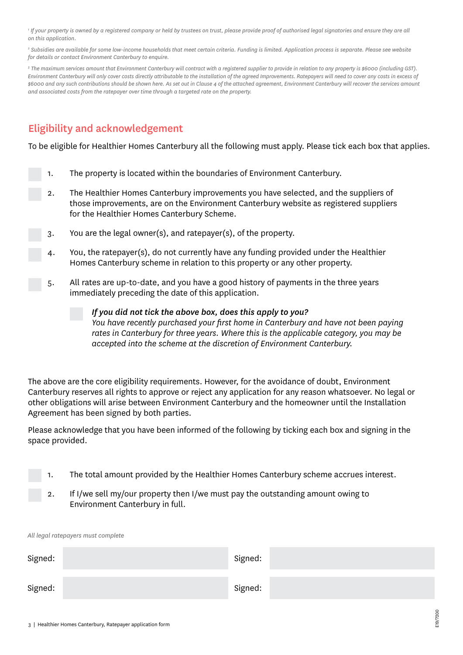<sup>1</sup> If your property is owned by a registered company or held by trustees on trust, please provide proof of authorised legal signatories and ensure they are all *on this application.*

*2 Subsidies are available for some low-income households that meet certain criteria. Funding is limited. Application process is separate. Please see website for details or contact Environment Canterbury to enquire.* 

*<sup>3</sup> The maximum services amount that Environment Canterbury will contract with a registered supplier to provide in relation to any property is \$6000 (including GST). Environment Canterbury will only cover costs directly attributable to the installation of the agreed Improvements. Ratepayers will need to cover any costs in excess of \$6000 and any such contributions should be shown here. As set out in Clause 4 of the attached agreement, Environment Canterbury will recover the services amount and associated costs from the ratepayer over time through a targeted rate on the property.* 

## Eligibility and acknowledgement

To be eligible for Healthier Homes Canterbury all the following must apply. Please tick each box that applies.

- 1. The property is located within the boundaries of Environment Canterbury.
- 2. The Healthier Homes Canterbury improvements you have selected, and the suppliers of those improvements, are on the Environment Canterbury website as registered suppliers for the Healthier Homes Canterbury Scheme.
- 3. You are the legal owner(s), and ratepayer(s), of the property.
- 4. You, the ratepayer(s), do not currently have any funding provided under the Healthier Homes Canterbury scheme in relation to this property or any other property.
- 5. All rates are up-to-date, and you have a good history of payments in the three years immediately preceding the date of this application.

*If you did not tick the above box, does this apply to you? You have recently purchased your first home in Canterbury and have not been paying rates in Canterbury for three years. Where this is the applicable category, you may be accepted into the scheme at the discretion of Environment Canterbury.* 

The above are the core eligibility requirements. However, for the avoidance of doubt, Environment Canterbury reserves all rights to approve or reject any application for any reason whatsoever. No legal or other obligations will arise between Environment Canterbury and the homeowner until the Installation Agreement has been signed by both parties.

Please acknowledge that you have been informed of the following by ticking each box and signing in the space provided.

- 1. The total amount provided by the Healthier Homes Canterbury scheme accrues interest.
- 2. If I/we sell my/our property then I/we must pay the outstanding amount owing to Environment Canterbury in full.

*All legal ratepayers must complete*

| Signed: | Signed: |  |
|---------|---------|--|
| Signed: | Signed: |  |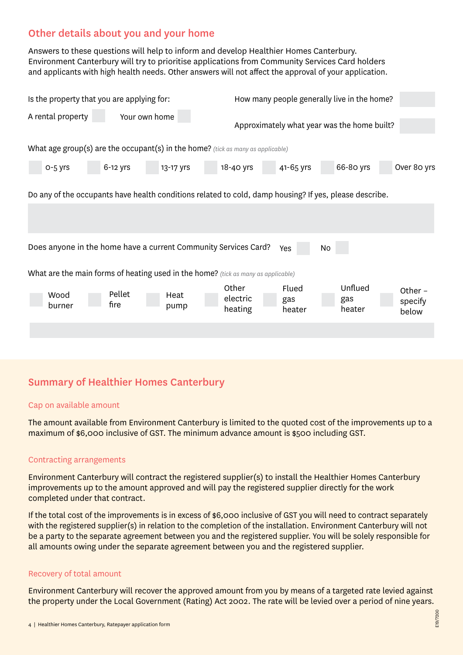## Other details about you and your home

Answers to these questions will help to inform and develop Healthier Homes Canterbury. Environment Canterbury will try to prioritise applications from Community Services Card holders and applicants with high health needs. Other answers will not affect the approval of your application.

| Is the property that you are applying for:                                                             |                |              |                              | How many people generally live in the home? |                          |                               |
|--------------------------------------------------------------------------------------------------------|----------------|--------------|------------------------------|---------------------------------------------|--------------------------|-------------------------------|
| A rental property                                                                                      | Your own home  |              |                              | Approximately what year was the home built? |                          |                               |
| What age group(s) are the occupant(s) in the home? (tick as many as applicable)                        |                |              |                              |                                             |                          |                               |
| O-5 yrs                                                                                                | 6-12 yrs       | 13-17 yrs    | 18-40 yrs                    | 41-65 yrs                                   | 66-80 yrs                | Over 80 yrs                   |
| Do any of the occupants have health conditions related to cold, damp housing? If yes, please describe. |                |              |                              |                                             |                          |                               |
| Does anyone in the home have a current Community Services Card?                                        |                |              |                              | No<br>Yes                                   |                          |                               |
| What are the main forms of heating used in the home? (tick as many as applicable)                      |                |              |                              |                                             |                          |                               |
| Wood<br>burner                                                                                         | Pellet<br>fire | Heat<br>pump | Other<br>electric<br>heating | Flued<br>gas<br>heater                      | Unflued<br>gas<br>heater | Other $-$<br>specify<br>below |
|                                                                                                        |                |              |                              |                                             |                          |                               |

## Summary of Healthier Homes Canterbury

#### Cap on available amount

The amount available from Environment Canterbury is limited to the quoted cost of the improvements up to a maximum of \$6,000 inclusive of GST. The minimum advance amount is \$500 including GST.

#### Contracting arrangements

Environment Canterbury will contract the registered supplier(s) to install the Healthier Homes Canterbury improvements up to the amount approved and will pay the registered supplier directly for the work completed under that contract.

If the total cost of the improvements is in excess of \$6,000 inclusive of GST you will need to contract separately with the registered supplier(s) in relation to the completion of the installation. Environment Canterbury will not be a party to the separate agreement between you and the registered supplier. You will be solely responsible for all amounts owing under the separate agreement between you and the registered supplier.

#### Recovery of total amount

Environment Canterbury will recover the approved amount from you by means of a targeted rate levied against the property under the Local Government (Rating) Act 2002. The rate will be levied over a period of nine years.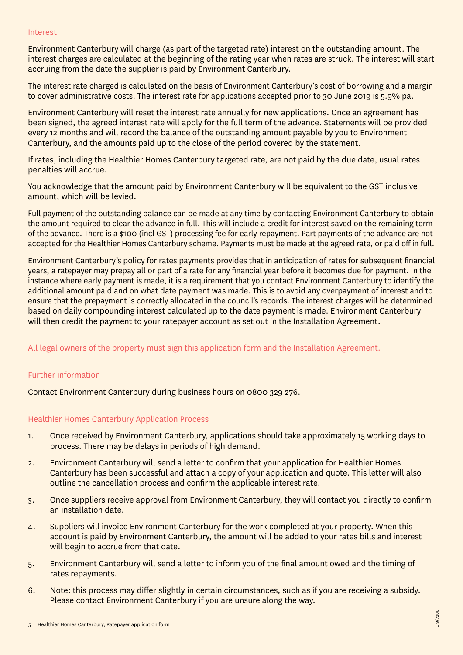#### Interest

Environment Canterbury will charge (as part of the targeted rate) interest on the outstanding amount. The interest charges are calculated at the beginning of the rating year when rates are struck. The interest will start accruing from the date the supplier is paid by Environment Canterbury.

The interest rate charged is calculated on the basis of Environment Canterbury's cost of borrowing and a margin to cover administrative costs. The interest rate for applications accepted prior to 30 June 2019 is 5.9% pa.

Environment Canterbury will reset the interest rate annually for new applications. Once an agreement has been signed, the agreed interest rate will apply for the full term of the advance. Statements will be provided every 12 months and will record the balance of the outstanding amount payable by you to Environment Canterbury, and the amounts paid up to the close of the period covered by the statement.

If rates, including the Healthier Homes Canterbury targeted rate, are not paid by the due date, usual rates penalties will accrue.

You acknowledge that the amount paid by Environment Canterbury will be equivalent to the GST inclusive amount, which will be levied.

Full payment of the outstanding balance can be made at any time by contacting Environment Canterbury to obtain the amount required to clear the advance in full. This will include a credit for interest saved on the remaining term of the advance. There is a \$100 (incl GST) processing fee for early repayment. Part payments of the advance are not accepted for the Healthier Homes Canterbury scheme. Payments must be made at the agreed rate, or paid off in full.

Environment Canterbury's policy for rates payments provides that in anticipation of rates for subsequent financial years, a ratepayer may prepay all or part of a rate for any financial year before it becomes due for payment. In the instance where early payment is made, it is a requirement that you contact Environment Canterbury to identify the additional amount paid and on what date payment was made. This is to avoid any overpayment of interest and to ensure that the prepayment is correctly allocated in the council's records. The interest charges will be determined based on daily compounding interest calculated up to the date payment is made. Environment Canterbury will then credit the payment to your ratepayer account as set out in the Installation Agreement.

All legal owners of the property must sign this application form and the Installation Agreement.

#### Further information

Contact Environment Canterbury during business hours on 0800 329 276.

#### Healthier Homes Canterbury Application Process

- 1. Once received by Environment Canterbury, applications should take approximately 15 working days to process. There may be delays in periods of high demand.
- 2. Environment Canterbury will send a letter to confirm that your application for Healthier Homes Canterbury has been successful and attach a copy of your application and quote. This letter will also outline the cancellation process and confirm the applicable interest rate.
- 3. Once suppliers receive approval from Environment Canterbury, they will contact you directly to confirm an installation date.
- 4. Suppliers will invoice Environment Canterbury for the work completed at your property. When this account is paid by Environment Canterbury, the amount will be added to your rates bills and interest will begin to accrue from that date.
- 5. Environment Canterbury will send a letter to inform you of the final amount owed and the timing of rates repayments.
- 6. Note: this process may differ slightly in certain circumstances, such as if you are receiving a subsidy. Please contact Environment Canterbury if you are unsure along the way.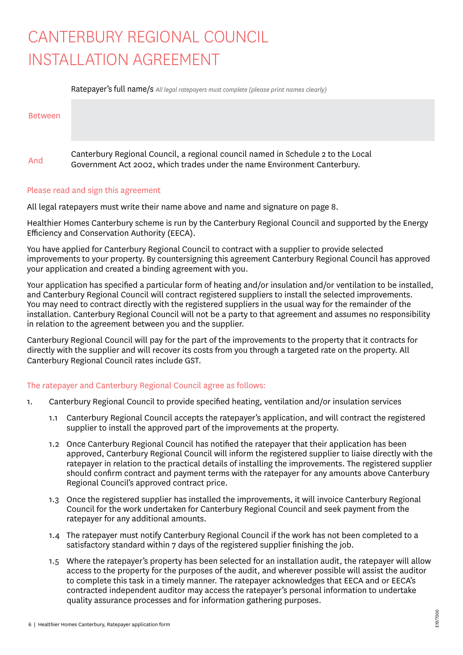## CANTERBURY REGIONAL COUNCIL INSTALLATION AGREEMENT

|                | Ratepayer's full name/s All legal ratepayers must complete (please print names clearly)                                                                      |  |  |
|----------------|--------------------------------------------------------------------------------------------------------------------------------------------------------------|--|--|
| <b>Between</b> |                                                                                                                                                              |  |  |
| And            | Canterbury Regional Council, a regional council named in Schedule 2 to the Local<br>Government Act 2002, which trades under the name Environment Canterbury. |  |  |

#### Please read and sign this agreement

All legal ratepayers must write their name above and name and signature on page 8.

Healthier Homes Canterbury scheme is run by the Canterbury Regional Council and supported by the Energy Efficiency and Conservation Authority (EECA).

You have applied for Canterbury Regional Council to contract with a supplier to provide selected improvements to your property. By countersigning this agreement Canterbury Regional Council has approved your application and created a binding agreement with you.

Your application has specified a particular form of heating and/or insulation and/or ventilation to be installed, and Canterbury Regional Council will contract registered suppliers to install the selected improvements. You may need to contract directly with the registered suppliers in the usual way for the remainder of the installation. Canterbury Regional Council will not be a party to that agreement and assumes no responsibility in relation to the agreement between you and the supplier.

Canterbury Regional Council will pay for the part of the improvements to the property that it contracts for directly with the supplier and will recover its costs from you through a targeted rate on the property. All Canterbury Regional Council rates include GST.

#### The ratepayer and Canterbury Regional Council agree as follows:

- 1. Canterbury Regional Council to provide specified heating, ventilation and/or insulation services
	- 1.1 Canterbury Regional Council accepts the ratepayer's application, and will contract the registered supplier to install the approved part of the improvements at the property.
	- 1.2 Once Canterbury Regional Council has notified the ratepayer that their application has been approved, Canterbury Regional Council will inform the registered supplier to liaise directly with the ratepayer in relation to the practical details of installing the improvements. The registered supplier should confirm contract and payment terms with the ratepayer for any amounts above Canterbury Regional Council's approved contract price.
	- 1.3 Once the registered supplier has installed the improvements, it will invoice Canterbury Regional Council for the work undertaken for Canterbury Regional Council and seek payment from the ratepayer for any additional amounts.
	- 1.4 The ratepayer must notify Canterbury Regional Council if the work has not been completed to a satisfactory standard within 7 days of the registered supplier finishing the job.
	- 1.5 Where the ratepayer's property has been selected for an installation audit, the ratepayer will allow access to the property for the purposes of the audit, and wherever possible will assist the auditor to complete this task in a timely manner. The ratepayer acknowledges that EECA and or EECA's contracted independent auditor may access the ratepayer's personal information to undertake quality assurance processes and for information gathering purposes.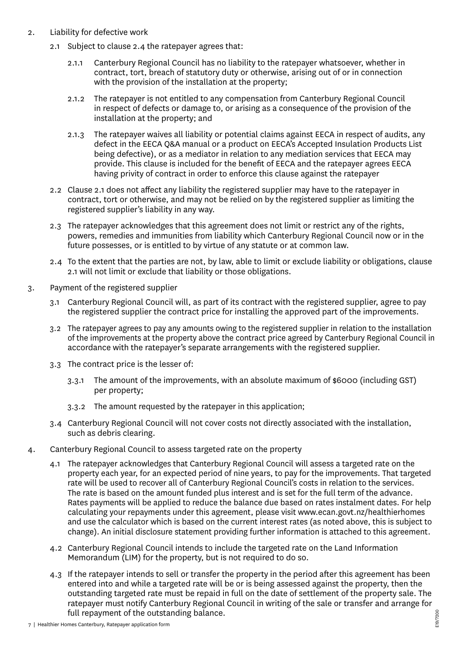- 2. Liability for defective work
	- 2.1 Subject to clause 2.4 the ratepayer agrees that:
		- 2.1.1 Canterbury Regional Council has no liability to the ratepayer whatsoever, whether in contract, tort, breach of statutory duty or otherwise, arising out of or in connection with the provision of the installation at the property;
		- 2.1.2 The ratepayer is not entitled to any compensation from Canterbury Regional Council in respect of defects or damage to, or arising as a consequence of the provision of the installation at the property; and
		- 2.1.3 The ratepayer waives all liability or potential claims against EECA in respect of audits, any defect in the EECA Q&A manual or a product on EECA's Accepted Insulation Products List being defective), or as a mediator in relation to any mediation services that EECA may provide. This clause is included for the benefit of EECA and the ratepayer agrees EECA having privity of contract in order to enforce this clause against the ratepayer
	- 2.2 Clause 2.1 does not affect any liability the registered supplier may have to the ratepayer in contract, tort or otherwise, and may not be relied on by the registered supplier as limiting the registered supplier's liability in any way.
	- 2.3 The ratepayer acknowledges that this agreement does not limit or restrict any of the rights, powers, remedies and immunities from liability which Canterbury Regional Council now or in the future possesses, or is entitled to by virtue of any statute or at common law.
	- 2.4 To the extent that the parties are not, by law, able to limit or exclude liability or obligations, clause 2.1 will not limit or exclude that liability or those obligations.
- 3. Payment of the registered supplier
	- 3.1 Canterbury Regional Council will, as part of its contract with the registered supplier, agree to pay the registered supplier the contract price for installing the approved part of the improvements.
	- 3.2 The ratepayer agrees to pay any amounts owing to the registered supplier in relation to the installation of the improvements at the property above the contract price agreed by Canterbury Regional Council in accordance with the ratepayer's separate arrangements with the registered supplier.
	- 3.3 The contract price is the lesser of:
		- 3.3.1 The amount of the improvements, with an absolute maximum of \$6000 (including GST) per property;
		- 3.3.2 The amount requested by the ratepayer in this application;
	- 3.4 Canterbury Regional Council will not cover costs not directly associated with the installation, such as debris clearing.
- 4. Canterbury Regional Council to assess targeted rate on the property
	- 4.1 The ratepayer acknowledges that Canterbury Regional Council will assess a targeted rate on the property each year, for an expected period of nine years, to pay for the improvements. That targeted rate will be used to recover all of Canterbury Regional Council's costs in relation to the services. The rate is based on the amount funded plus interest and is set for the full term of the advance. Rates payments will be applied to reduce the balance due based on rates instalment dates. For help calculating your repayments under this agreement, please visit www.ecan.govt.nz/healthierhomes and use the calculator which is based on the current interest rates (as noted above, this is subject to change). An initial disclosure statement providing further information is attached to this agreement.
	- 4.2 Canterbury Regional Council intends to include the targeted rate on the Land Information Memorandum (LIM) for the property, but is not required to do so.
- 4.3 If the ratepayer intends to sell or transfer the property in the period after this agreement has been entered into and while a targeted rate will be or is being assessed against the property, then the outstanding targeted rate must be repaid in full on the date of settlement of the property sale. The ratepayer must notify Canterbury Regional Council in writing of the sale or transfer and arrange for full repayment of the outstanding balance. full repayment of the outstanding balance.<br>7 | Healthier Homes Canterbury, Ratepayer application form E19/72000.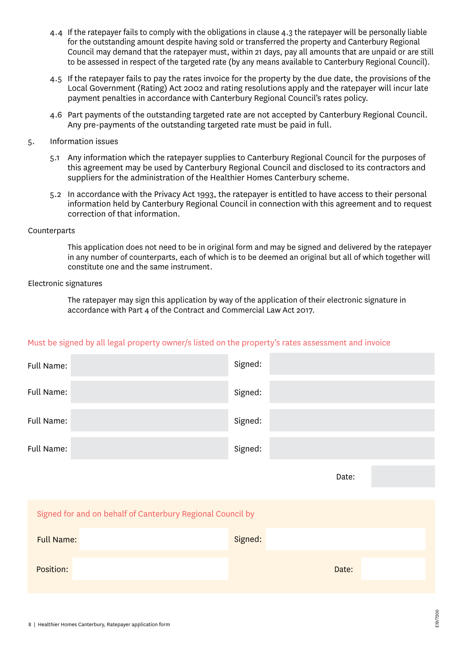- 4.4 If the ratepayer fails to comply with the obligations in clause 4.3 the ratepayer will be personally liable for the outstanding amount despite having sold or transferred the property and Canterbury Regional Council may demand that the ratepayer must, within 21 days, pay all amounts that are unpaid or are still to be assessed in respect of the targeted rate (by any means available to Canterbury Regional Council).
- 4.5 If the ratepayer fails to pay the rates invoice for the property by the due date, the provisions of the Local Government (Rating) Act 2002 and rating resolutions apply and the ratepayer will incur late payment penalties in accordance with Canterbury Regional Council's rates policy.
- 4.6 Part payments of the outstanding targeted rate are not accepted by Canterbury Regional Council. Any pre-payments of the outstanding targeted rate must be paid in full.
- 5. Information issues
	- 5.1 Any information which the ratepayer supplies to Canterbury Regional Council for the purposes of this agreement may be used by Canterbury Regional Council and disclosed to its contractors and suppliers for the administration of the Healthier Homes Canterbury scheme.
	- 5.2 In accordance with the Privacy Act 1993, the ratepayer is entitled to have access to their personal information held by Canterbury Regional Council in connection with this agreement and to request correction of that information.

#### Counterparts

This application does not need to be in original form and may be signed and delivered by the ratepayer in any number of counterparts, each of which is to be deemed an original but all of which together will constitute one and the same instrument.

#### Electronic signatures

The ratepayer may sign this application by way of the application of their electronic signature in accordance with Part 4 of the Contract and Commercial Law Act 2017.

#### Must be signed by all legal property owner/s listed on the property's rates assessment and invoice

| Full Name:                                                 | Signed: |       |
|------------------------------------------------------------|---------|-------|
| Full Name:                                                 | Signed: |       |
| Full Name:                                                 | Signed: |       |
| Full Name:                                                 | Signed: |       |
|                                                            |         | Date: |
| Signed for and on behalf of Canterbury Regional Council by |         |       |
| <b>Full Name:</b>                                          | Signed: |       |
| Position:                                                  |         | Date: |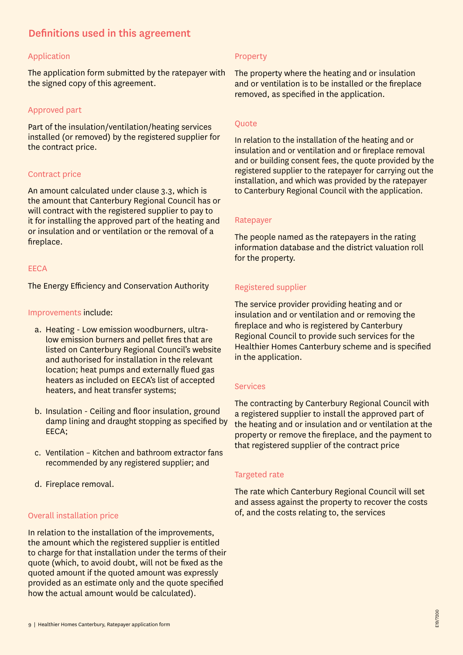### Definitions used in this agreement

#### Application

The application form submitted by the ratepayer with the signed copy of this agreement.

#### Approved part

Part of the insulation/ventilation/heating services installed (or removed) by the registered supplier for the contract price.

#### Contract price

An amount calculated under clause 3.3, which is the amount that Canterbury Regional Council has or will contract with the registered supplier to pay to it for installing the approved part of the heating and or insulation and or ventilation or the removal of a fireplace.

#### **EECA**

The Energy Efficiency and Conservation Authority

#### Improvements include:

- a. Heating Low emission woodburners, ultralow emission burners and pellet fires that are listed on Canterbury Regional Council's website and authorised for installation in the relevant location; heat pumps and externally flued gas heaters as included on EECA's list of accepted heaters, and heat transfer systems;
- b. Insulation Ceiling and floor insulation, ground damp lining and draught stopping as specified by EECA;
- c. Ventilation Kitchen and bathroom extractor fans recommended by any registered supplier; and
- d. Fireplace removal.

#### Overall installation price

In relation to the installation of the improvements, the amount which the registered supplier is entitled to charge for that installation under the terms of their quote (which, to avoid doubt, will not be fixed as the quoted amount if the quoted amount was expressly provided as an estimate only and the quote specified how the actual amount would be calculated).

#### Property

The property where the heating and or insulation and or ventilation is to be installed or the fireplace removed, as specified in the application.

#### Quote

In relation to the installation of the heating and or insulation and or ventilation and or fireplace removal and or building consent fees, the quote provided by the registered supplier to the ratepayer for carrying out the installation, and which was provided by the ratepayer to Canterbury Regional Council with the application.

#### Ratepayer

The people named as the ratepayers in the rating information database and the district valuation roll for the property.

#### Registered supplier

The service provider providing heating and or insulation and or ventilation and or removing the fireplace and who is registered by Canterbury Regional Council to provide such services for the Healthier Homes Canterbury scheme and is specified in the application.

#### Services

The contracting by Canterbury Regional Council with a registered supplier to install the approved part of the heating and or insulation and or ventilation at the property or remove the fireplace, and the payment to that registered supplier of the contract price

#### Targeted rate

The rate which Canterbury Regional Council will set and assess against the property to recover the costs of, and the costs relating to, the services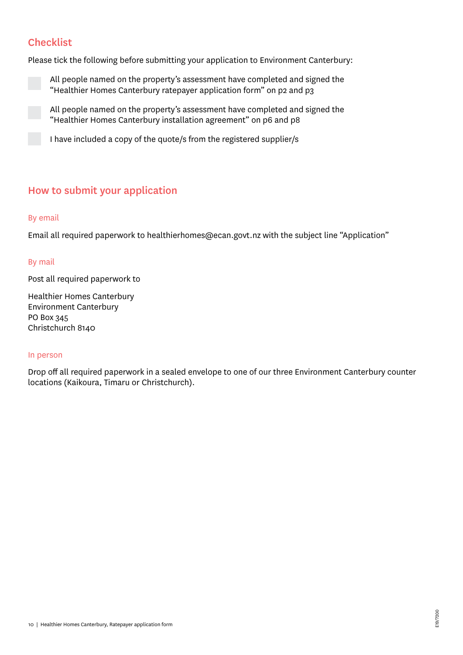## **Checklist**

Please tick the following before submitting your application to Environment Canterbury:



All people named on the property's assessment have completed and signed the "Healthier Homes Canterbury ratepayer application form" on p2 and p3

All people named on the property's assessment have completed and signed the "Healthier Homes Canterbury installation agreement" on p6 and p8

I have included a copy of the quote/s from the registered supplier/s

## How to submit your application

#### By email

Email all required paperwork to healthierhomes@ecan.govt.nz with the subject line "Application"

#### By mail

Post all required paperwork to

Healthier Homes Canterbury Environment Canterbury PO Box 345 Christchurch 8140

#### In person

Drop off all required paperwork in a sealed envelope to one of our three Environment Canterbury counter locations (Kaikoura, Timaru or Christchurch).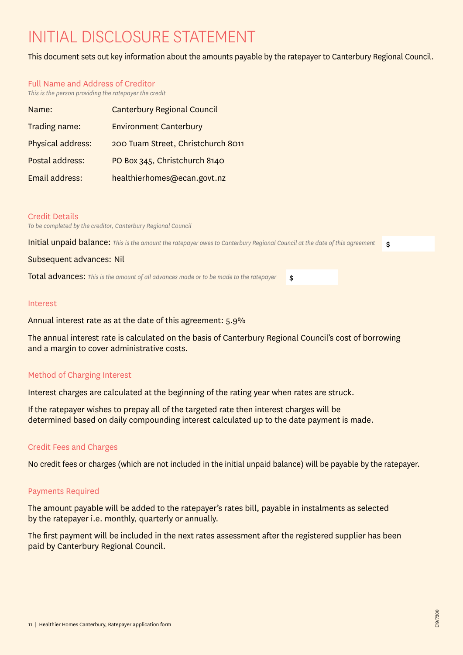## INITIAL DISCLOSURE STATEMENT

This document sets out key information about the amounts payable by the ratepayer to Canterbury Regional Council.

#### Full Name and Address of Creditor

*This is the person providing the ratepayer the credit*

| Name:             | <b>Canterbury Regional Council</b> |
|-------------------|------------------------------------|
| Trading name:     | <b>Environment Canterbury</b>      |
| Physical address: | 200 Tuam Street, Christchurch 8011 |
| Postal address:   | PO Box 345, Christchurch 8140      |
| Email address:    | healthierhomes@ecan.govt.nz        |

#### Credit Details

*To be completed by the creditor, Canterbury Regional Council*

Initial unpaid balance: *This is the amount the ratepayer owes to Canterbury Regional Council at the date of this agreement*

Subsequent advances: Nil

Total advances: *This is the amount of all advances made or to be made to the ratepayer*

#### Interest

#### Annual interest rate as at the date of this agreement: 5.9%

The annual interest rate is calculated on the basis of Canterbury Regional Council's cost of borrowing and a margin to cover administrative costs.

\$

#### Method of Charging Interest

Interest charges are calculated at the beginning of the rating year when rates are struck.

If the ratepayer wishes to prepay all of the targeted rate then interest charges will be determined based on daily compounding interest calculated up to the date payment is made.

#### Credit Fees and Charges

No credit fees or charges (which are not included in the initial unpaid balance) will be payable by the ratepayer.

#### Payments Required

The amount payable will be added to the ratepayer's rates bill, payable in instalments as selected by the ratepayer i.e. monthly, quarterly or annually.

The first payment will be included in the next rates assessment after the registered supplier has been paid by Canterbury Regional Council.

\$